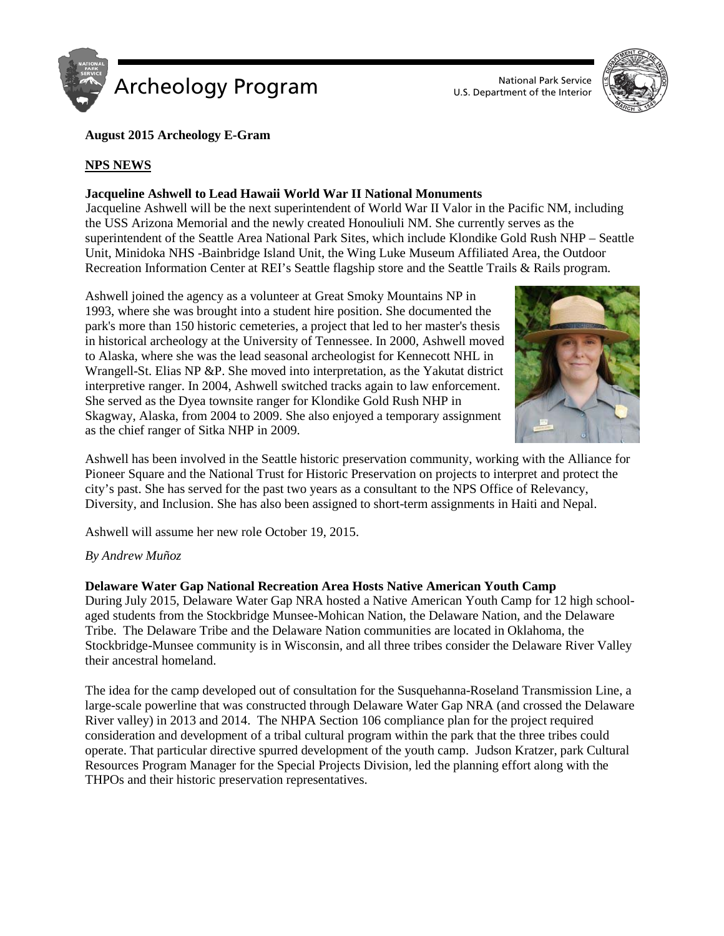



# **August 2015 Archeology E-Gram**

# **NPS NEWS**

## **Jacqueline Ashwell to Lead Hawaii World War II National Monuments**

Jacqueline Ashwell will be the next superintendent of World War II Valor in the Pacific NM, including the USS Arizona Memorial and the newly created Honouliuli NM. She currently serves as the superintendent of the Seattle Area National Park Sites, which include Klondike Gold Rush NHP – Seattle Unit, Minidoka NHS -Bainbridge Island Unit, the Wing Luke Museum Affiliated Area, the Outdoor Recreation Information Center at REI's Seattle flagship store and the Seattle Trails & Rails program.

Ashwell joined the agency as a volunteer at Great Smoky Mountains NP in 1993, where she was brought into a student hire position. She documented the park's more than 150 historic cemeteries, a project that led to her master's thesis in historical archeology at the University of Tennessee. In 2000, Ashwell moved to Alaska, where she was the lead seasonal archeologist for Kennecott NHL in Wrangell-St. Elias NP &P. She moved into interpretation, as the Yakutat district interpretive ranger. In 2004, Ashwell switched tracks again to law enforcement. She served as the Dyea townsite ranger for Klondike Gold Rush NHP in Skagway, Alaska, from 2004 to 2009. She also enjoyed a temporary assignment as the chief ranger of Sitka NHP in 2009.



Ashwell has been involved in the Seattle historic preservation community, working with the Alliance for Pioneer Square and the National Trust for Historic Preservation on projects to interpret and protect the city's past. She has served for the past two years as a consultant to the NPS Office of Relevancy, Diversity, and Inclusion. She has also been assigned to short-term assignments in Haiti and Nepal.

Ashwell will assume her new role October 19, 2015.

## *By Andrew Muñoz*

## **Delaware Water Gap National Recreation Area Hosts Native American Youth Camp**

During July 2015, Delaware Water Gap NRA hosted a Native American Youth Camp for 12 high schoolaged students from the Stockbridge Munsee-Mohican Nation, the Delaware Nation, and the Delaware Tribe. The Delaware Tribe and the Delaware Nation communities are located in Oklahoma, the Stockbridge-Munsee community is in Wisconsin, and all three tribes consider the Delaware River Valley their ancestral homeland.

The idea for the camp developed out of consultation for the Susquehanna-Roseland Transmission Line, a large-scale powerline that was constructed through Delaware Water Gap NRA (and crossed the Delaware River valley) in 2013 and 2014. The NHPA Section 106 compliance plan for the project required consideration and development of a tribal cultural program within the park that the three tribes could operate. That particular directive spurred development of the youth camp. Judson Kratzer, park Cultural Resources Program Manager for the Special Projects Division, led the planning effort along with the THPOs and their historic preservation representatives.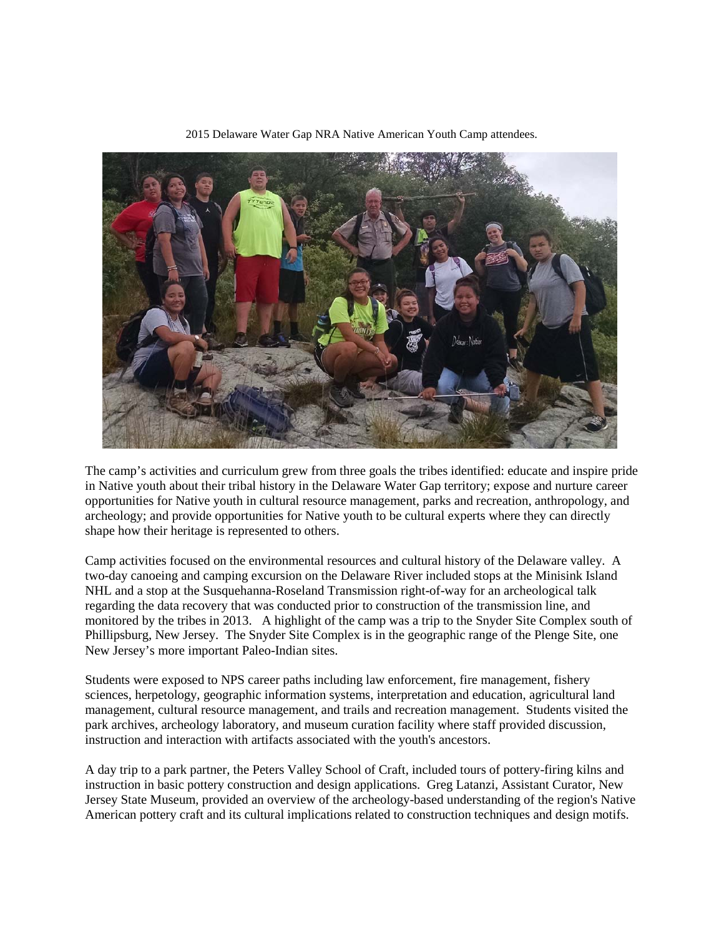

2015 Delaware Water Gap NRA Native American Youth Camp attendees.

The camp's activities and curriculum grew from three goals the tribes identified: educate and inspire pride in Native youth about their tribal history in the Delaware Water Gap territory; expose and nurture career opportunities for Native youth in cultural resource management, parks and recreation, anthropology, and archeology; and provide opportunities for Native youth to be cultural experts where they can directly shape how their heritage is represented to others.

Camp activities focused on the environmental resources and cultural history of the Delaware valley. A two-day canoeing and camping excursion on the Delaware River included stops at the Minisink Island NHL and a stop at the Susquehanna-Roseland Transmission right-of-way for an archeological talk regarding the data recovery that was conducted prior to construction of the transmission line, and monitored by the tribes in 2013. A highlight of the camp was a trip to the Snyder Site Complex south of Phillipsburg, New Jersey. The Snyder Site Complex is in the geographic range of the Plenge Site, one New Jersey's more important Paleo-Indian sites.

Students were exposed to NPS career paths including law enforcement, fire management, fishery sciences, herpetology, geographic information systems, interpretation and education, agricultural land management, cultural resource management, and trails and recreation management. Students visited the park archives, archeology laboratory, and museum curation facility where staff provided discussion, instruction and interaction with artifacts associated with the youth's ancestors.

A day trip to a park partner, the Peters Valley School of Craft, included tours of pottery-firing kilns and instruction in basic pottery construction and design applications. Greg Latanzi, Assistant Curator, New Jersey State Museum, provided an overview of the archeology-based understanding of the region's Native American pottery craft and its cultural implications related to construction techniques and design motifs.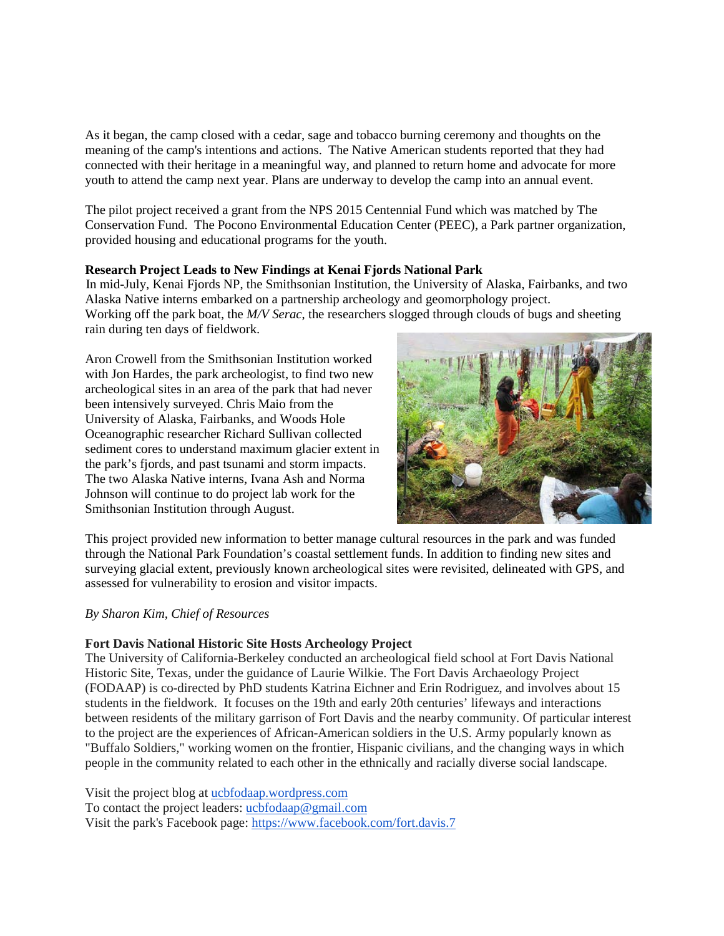As it began, the camp closed with a cedar, sage and tobacco burning ceremony and thoughts on the meaning of the camp's intentions and actions. The Native American students reported that they had connected with their heritage in a meaningful way, and planned to return home and advocate for more youth to attend the camp next year. Plans are underway to develop the camp into an annual event.

The pilot project received a grant from the NPS 2015 Centennial Fund which was matched by The Conservation Fund. The Pocono Environmental Education Center (PEEC), a Park partner organization, provided housing and educational programs for the youth.

## **Research Project Leads to New Findings at Kenai Fjords National Park**

In mid-July, Kenai Fjords NP, the Smithsonian Institution, the University of Alaska, Fairbanks, and two Alaska Native interns embarked on a partnership archeology and geomorphology project. Working off the park boat, the *M/V Serac*, the researchers slogged through clouds of bugs and sheeting rain during ten days of fieldwork.

Aron Crowell from the Smithsonian Institution worked with Jon Hardes, the park archeologist, to find two new archeological sites in an area of the park that had never been intensively surveyed. Chris Maio from the University of Alaska, Fairbanks, and Woods Hole Oceanographic researcher Richard Sullivan collected sediment cores to understand maximum glacier extent in the park's fjords, and past tsunami and storm impacts. The two Alaska Native interns, Ivana Ash and Norma Johnson will continue to do project lab work for the Smithsonian Institution through August.



This project provided new information to better manage cultural resources in the park and was funded through the National Park Foundation's coastal settlement funds. In addition to finding new sites and surveying glacial extent, previously known archeological sites were revisited, delineated with GPS, and assessed for vulnerability to erosion and visitor impacts.

#### *By Sharon Kim, Chief of Resources*

## **Fort Davis National Historic Site Hosts Archeology Project**

The University of California-Berkeley conducted an archeological field school at Fort Davis National Historic Site, Texas, under the guidance of Laurie Wilkie. The Fort Davis Archaeology Project (FODAAP) is co-directed by PhD students Katrina Eichner and Erin Rodriguez, and involves about 15 students in the fieldwork. It focuses on the 19th and early 20th centuries' lifeways and interactions between residents of the military garrison of Fort Davis and the nearby community. Of particular interest to the project are the experiences of African-American soldiers in the U.S. Army popularly known as "Buffalo Soldiers," working women on the frontier, Hispanic civilians, and the changing ways in which people in the community related to each other in the ethnically and racially diverse social landscape.

Visit the project blog at [ucbfodaap.wordpress.com](http://ucbfodaap.wordpress.com/) To contact the project leaders: [ucbfodaap@gmail.com](mailto:ucbfodaap@gmail.com) Visit the park's Facebook page: <https://www.facebook.com/fort.davis.7>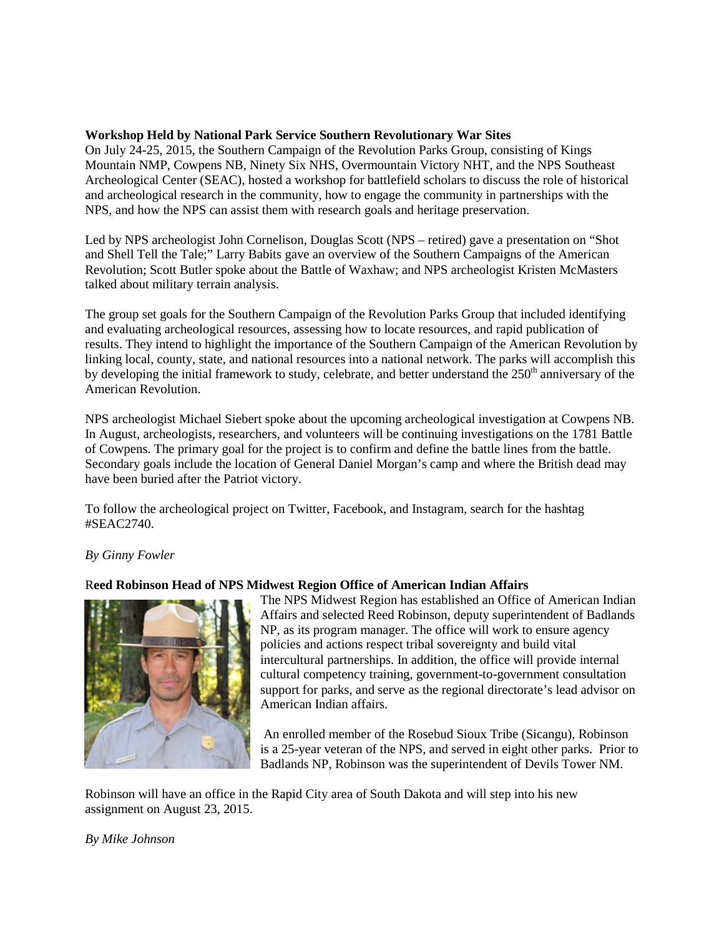## **Workshop Held by National Park Service Southern Revolutionary War Sites**

On July 24-25, 2015, the Southern Campaign of the Revolution Parks Group, consisting of Kings Mountain NMP, Cowpens NB, Ninety Six NHS, Overmountain Victory NHT, and the NPS Southeast Archeological Center (SEAC), hosted a workshop for battlefield scholars to discuss the role of historical and archeological research in the community, how to engage the community in partnerships with the NPS, and how the NPS can assist them with research goals and heritage preservation.

Led by NPS archeologist John Cornelison, Douglas Scott (NPS – retired) gave a presentation on "Shot and Shell Tell the Tale;" Larry Babits gave an overview of the Southern Campaigns of the American Revolution; Scott Butler spoke about the Battle of Waxhaw; and NPS archeologist Kristen McMasters talked about military terrain analysis.

The group set goals for the Southern Campaign of the Revolution Parks Group that included identifying and evaluating archeological resources, assessing how to locate resources, and rapid publication of results. They intend to highlight the importance of the Southern Campaign of the American Revolution by linking local, county, state, and national resources into a national network. The parks will accomplish this by developing the initial framework to study, celebrate, and better understand the 250<sup>th</sup> anniversary of the American Revolution.

NPS archeologist Michael Siebert spoke about the upcoming archeological investigation at Cowpens NB. In August, archeologists, researchers, and volunteers will be continuing investigations on the 1781 Battle of Cowpens. The primary goal for the project is to confirm and define the battle lines from the battle. Secondary goals include the location of General Daniel Morgan's camp and where the British dead may have been buried after the Patriot victory.

To follow the archeological project on Twitter, Facebook, and Instagram, search for the hashtag #SEAC2740.

## *By Ginny Fowler*

## R**eed Robinson Head of NPS Midwest Region Office of American Indian Affairs**



The NPS Midwest Region has established an Office of American Indian Affairs and selected Reed Robinson, deputy superintendent of Badlands NP, as its program manager. The office will work to ensure agency policies and actions respect tribal sovereignty and build vital intercultural partnerships. In addition, the office will provide internal cultural competency training, government-to-government consultation support for parks, and serve as the regional directorate's lead advisor on American Indian affairs.

An enrolled member of the Rosebud Sioux Tribe (Sicangu), Robinson is a 25-year veteran of the NPS, and served in eight other parks. Prior to Badlands NP, Robinson was the superintendent of Devils Tower NM.

Robinson will have an office in the Rapid City area of South Dakota and will step into his new assignment on August 23, 2015.

## *By Mike Johnson*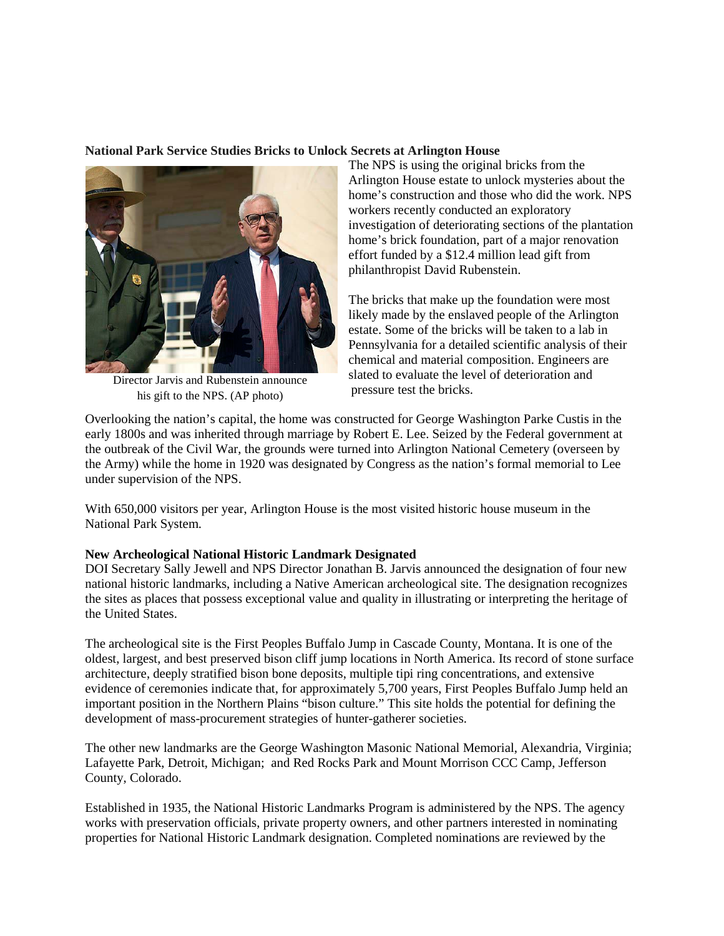## **National Park Service Studies Bricks to Unlock Secrets at Arlington House**



Director Jarvis and Rubenstein announce his gift to the NPS. (AP photo)

The NPS is using the original bricks from the Arlington House estate to unlock mysteries about the home's construction and those who did the work. NPS workers recently conducted an exploratory investigation of deteriorating sections of the plantation home's brick foundation, part of a major renovation effort funded by a \$12.4 million lead gift from philanthropist David Rubenstein.

The bricks that make up the foundation were most likely made by the enslaved people of the Arlington estate. Some of the bricks will be taken to a lab in Pennsylvania for a detailed scientific analysis of their chemical and material composition. Engineers are slated to evaluate the level of deterioration and pressure test the bricks.

Overlooking the nation's capital, the home was constructed for George Washington Parke Custis in the early 1800s and was inherited through marriage by Robert E. Lee. Seized by the Federal government at the outbreak of the Civil War, the grounds were turned into Arlington National Cemetery (overseen by the Army) while the home in 1920 was designated by Congress as the nation's formal memorial to Lee under supervision of the NPS.

With 650,000 visitors per year, Arlington House is the most visited historic house museum in the National Park System.

## **New Archeological National Historic Landmark Designated**

DOI Secretary Sally Jewell and NPS Director Jonathan B. Jarvis announced the designation of four new national historic landmarks, including a Native American archeological site. The designation recognizes the sites as places that possess exceptional value and quality in illustrating or interpreting the heritage of the United States.

The archeological site is the First Peoples Buffalo Jump in Cascade County, Montana. It is one of the oldest, largest, and best preserved bison cliff jump locations in North America. Its record of stone surface architecture, deeply stratified bison bone deposits, multiple tipi ring concentrations, and extensive evidence of ceremonies indicate that, for approximately 5,700 years, First Peoples Buffalo Jump held an important position in the Northern Plains "bison culture." This site holds the potential for defining the development of mass-procurement strategies of hunter-gatherer societies.

The other new landmarks are the George Washington Masonic National Memorial, Alexandria, Virginia; Lafayette Park, Detroit, Michigan; and Red Rocks Park and Mount Morrison CCC Camp, Jefferson County, Colorado.

Established in 1935, the National Historic Landmarks Program is administered by the NPS. The agency works with preservation officials, private property owners, and other partners interested in nominating properties for National Historic Landmark designation. Completed nominations are reviewed by the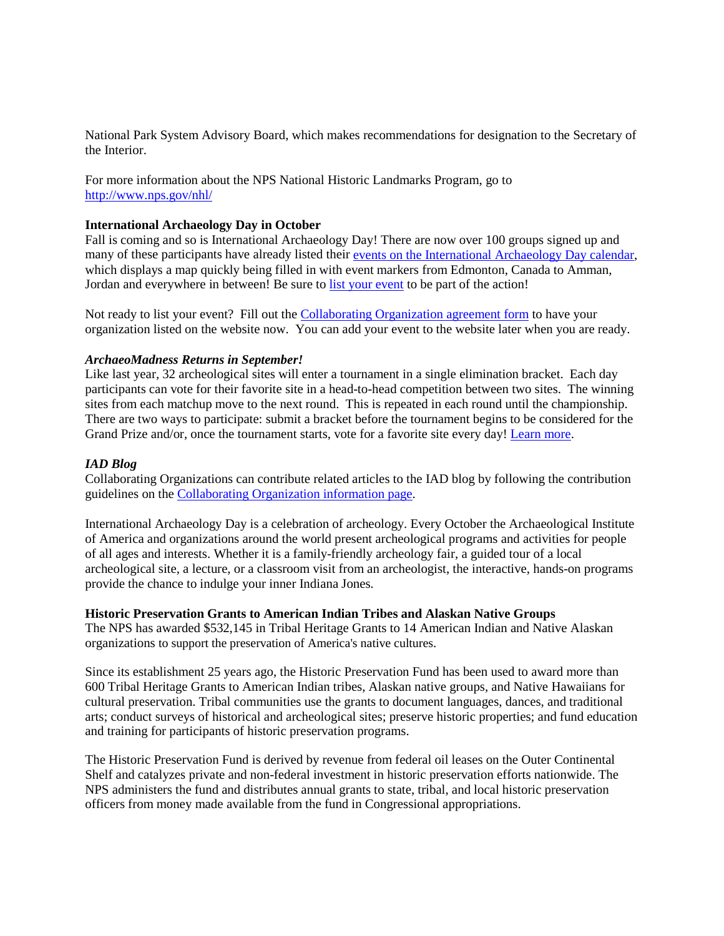National Park System Advisory Board, which makes recommendations for designation to the Secretary of the Interior.

For more information about the NPS National Historic Landmarks Program, go to <http://www.nps.gov/nhl/>

#### **International Archaeology Day in October**

Fall is coming and so is International Archaeology Day! There are now over 100 groups signed up and many of these participants have already listed their [events on the International Archaeology Day calendar,](http://archaeologyday.us10.list-manage1.com/track/click?u=70748a0b808e91ad3966ff72b&id=a47741becc&e=0cbd981271) which displays a map quickly being filled in with event markers from Edmonton, Canada to Amman, Jordan and everywhere in between! Be sure to [list your event](http://archaeologyday.us10.list-manage.com/track/click?u=70748a0b808e91ad3966ff72b&id=125f31ad5f&e=0cbd981271) to be part of the action!

Not ready to list your event? Fill out the [Collaborating Organization agreement form](http://archaeologyday.us10.list-manage.com/track/click?u=70748a0b808e91ad3966ff72b&id=376e70c852&e=0cbd981271) to have your organization listed on the website now. You can add your event to the website later when you are ready.

#### *ArchaeoMadness Returns in September!*

Like last year, 32 archeological sites will enter a tournament in a single elimination bracket. Each day participants can vote for their favorite site in a head-to-head competition between two sites. The winning sites from each matchup move to the next round. This is repeated in each round until the championship. There are two ways to participate: submit a bracket before the tournament begins to be considered for the Grand Prize and/or, once the tournament starts, vote for a favorite site every day! [Learn more.](http://archaeologyday.us10.list-manage.com/track/click?u=70748a0b808e91ad3966ff72b&id=ddcd55dca1&e=0cbd981271)

#### *IAD Blog*

Collaborating Organizations can contribute related articles to the IAD blog by following the contribution guidelines on the [Collaborating Organization information page.](http://archaeologyday.us10.list-manage1.com/track/click?u=70748a0b808e91ad3966ff72b&id=1a0a4d6fde&e=0cbd981271)

International Archaeology Day is a celebration of archeology. Every October the Archaeological Institute of America and organizations around the world present archeological programs and activities for people of all ages and interests. Whether it is a family-friendly archeology fair, a guided tour of a local archeological site, a lecture, or a classroom visit from an archeologist, the interactive, hands-on programs provide the chance to indulge your inner Indiana Jones.

#### **Historic Preservation Grants to American Indian Tribes and Alaskan Native Groups**

The NPS has awarded \$532,145 in Tribal Heritage Grants to 14 American Indian and Native Alaskan organizations to support the preservation of America's native cultures.

Since its establishment 25 years ago, the Historic Preservation Fund has been used to award more than 600 Tribal Heritage Grants to American Indian tribes, Alaskan native groups, and Native Hawaiians for cultural preservation. Tribal communities use the grants to document languages, dances, and traditional arts; conduct surveys of historical and archeological sites; preserve historic properties; and fund education and training for participants of historic preservation programs.

The Historic Preservation Fund is derived by revenue from federal oil leases on the Outer Continental Shelf and catalyzes private and non-federal investment in historic preservation efforts nationwide. The NPS administers the fund and distributes annual grants to state, tribal, and local historic preservation officers from money made available from the fund in Congressional appropriations.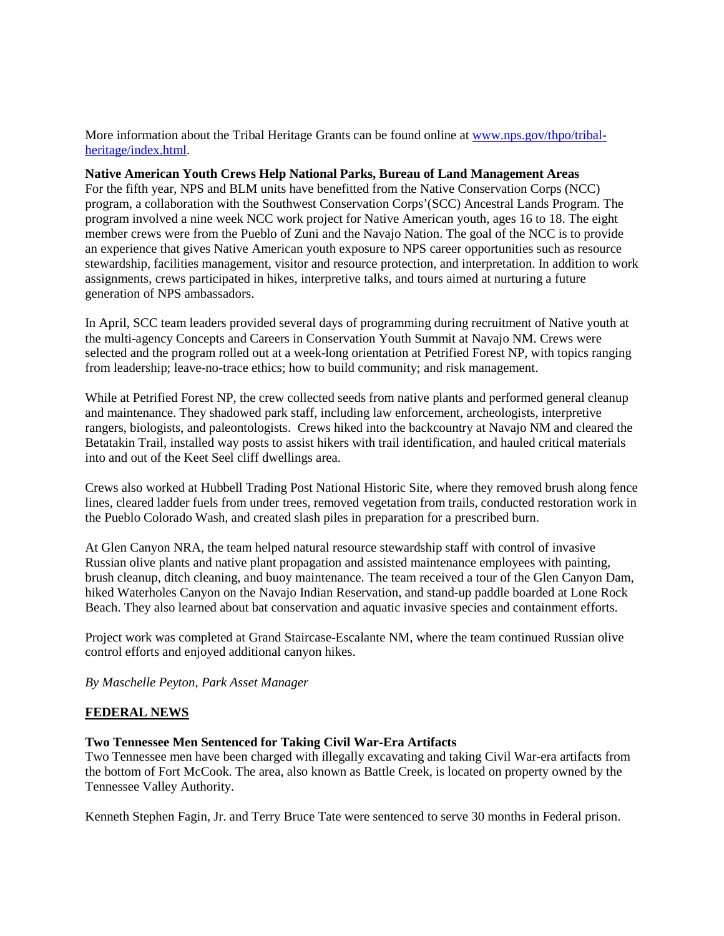More information about the Tribal Heritage Grants can be found online at [www.nps.gov/thpo/tribal](http://www.nps.gov/thpo/tribal-heritage/index.html)[heritage/index.html.](http://www.nps.gov/thpo/tribal-heritage/index.html)

#### **Native American Youth Crews Help National Parks, Bureau of Land Management Areas**

For the fifth year, NPS and BLM units have benefitted from the Native Conservation Corps (NCC) program, a collaboration with the Southwest Conservation Corps'(SCC) Ancestral Lands Program. The program involved a nine week NCC work project for Native American youth, ages 16 to 18. The eight member crews were from the Pueblo of Zuni and the Navajo Nation. The goal of the NCC is to provide an experience that gives Native American youth exposure to NPS career opportunities such as resource stewardship, facilities management, visitor and resource protection, and interpretation. In addition to work assignments, crews participated in hikes, interpretive talks, and tours aimed at nurturing a future generation of NPS ambassadors.

In April, SCC team leaders provided several days of programming during recruitment of Native youth at the multi-agency Concepts and Careers in Conservation Youth Summit at Navajo NM. Crews were selected and the program rolled out at a week-long orientation at Petrified Forest NP, with topics ranging from leadership; leave-no-trace ethics; how to build community; and risk management.

While at Petrified Forest NP, the crew collected seeds from native plants and performed general cleanup and maintenance. They shadowed park staff, including law enforcement, archeologists, interpretive rangers, biologists, and paleontologists. Crews hiked into the backcountry at Navajo NM and cleared the Betatakin Trail, installed way posts to assist hikers with trail identification, and hauled critical materials into and out of the Keet Seel cliff dwellings area.

Crews also worked at Hubbell Trading Post National Historic Site, where they removed brush along fence lines, cleared ladder fuels from under trees, removed vegetation from trails, conducted restoration work in the Pueblo Colorado Wash, and created slash piles in preparation for a prescribed burn.

At Glen Canyon NRA, the team helped natural resource stewardship staff with control of invasive Russian olive plants and native plant propagation and assisted maintenance employees with painting, brush cleanup, ditch cleaning, and buoy maintenance. The team received a tour of the Glen Canyon Dam, hiked Waterholes Canyon on the Navajo Indian Reservation, and stand-up paddle boarded at Lone Rock Beach. They also learned about bat conservation and aquatic invasive species and containment efforts.

Project work was completed at Grand Staircase-Escalante NM, where the team continued Russian olive control efforts and enjoyed additional canyon hikes.

*By Maschelle Peyton, Park Asset Manager*

## **FEDERAL NEWS**

## **Two Tennessee Men Sentenced for Taking Civil War-Era Artifacts**

Two Tennessee men have been charged with illegally excavating and taking Civil War-era artifacts from the bottom of Fort McCook. The area, also known as Battle Creek, is located on property owned by the Tennessee Valley Authority.

Kenneth Stephen Fagin, Jr. and Terry Bruce Tate were sentenced to serve 30 months in Federal prison.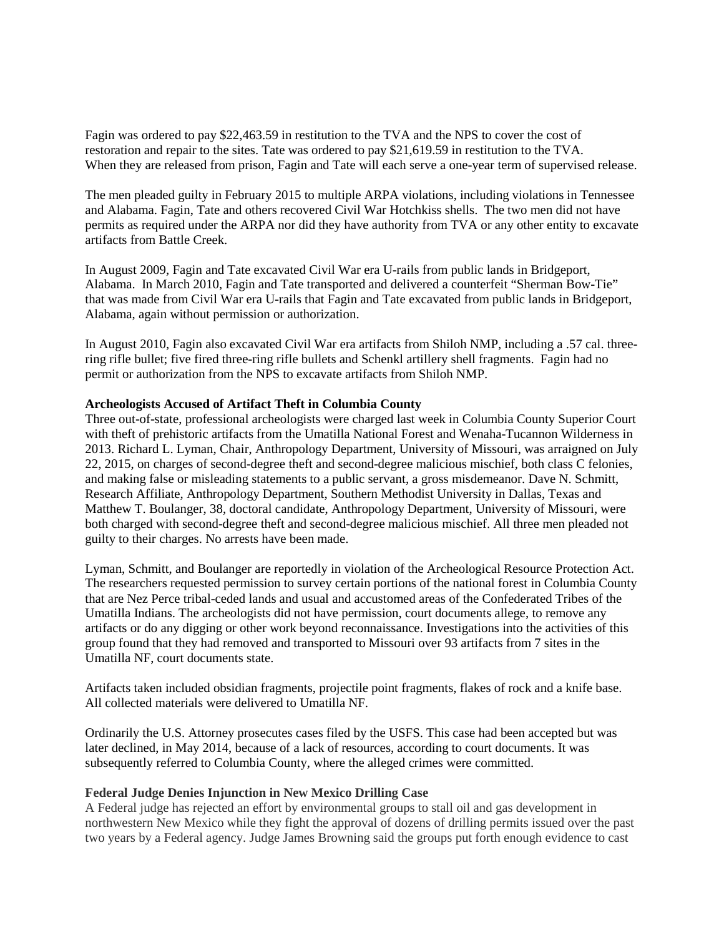Fagin was ordered to pay \$22,463.59 in restitution to the TVA and the NPS to cover the cost of restoration and repair to the sites. Tate was ordered to pay \$21,619.59 in restitution to the TVA. When they are released from prison, Fagin and Tate will each serve a one-year term of supervised release.

The men pleaded guilty in February 2015 to multiple ARPA violations, including violations in Tennessee and Alabama. Fagin, Tate and others recovered Civil War Hotchkiss shells. The two men did not have permits as required under the ARPA nor did they have authority from TVA or any other entity to excavate artifacts from Battle Creek.

In August 2009, Fagin and Tate excavated Civil War era U-rails from public lands in Bridgeport, Alabama. In March 2010, Fagin and Tate transported and delivered a counterfeit "Sherman Bow-Tie" that was made from Civil War era U-rails that Fagin and Tate excavated from public lands in Bridgeport, Alabama, again without permission or authorization.

In August 2010, Fagin also excavated Civil War era artifacts from Shiloh NMP, including a .57 cal. threering rifle bullet; five fired three-ring rifle bullets and Schenkl artillery shell fragments. Fagin had no permit or authorization from the NPS to excavate artifacts from Shiloh NMP.

#### **Archeologists Accused of Artifact Theft in Columbia County**

Three out-of-state, professional archeologists were charged last week in Columbia County Superior Court with theft of prehistoric artifacts from the Umatilla National Forest and Wenaha-Tucannon Wilderness in 2013. Richard L. Lyman, Chair, Anthropology Department, University of Missouri, was arraigned on July 22, 2015, on charges of second-degree theft and second-degree malicious mischief, both class C felonies, and making false or misleading statements to a public servant, a gross misdemeanor. Dave N. Schmitt, Research Affiliate, Anthropology Department, Southern Methodist University in Dallas, Texas and Matthew T. Boulanger, 38, doctoral candidate, Anthropology Department, University of Missouri, were both charged with second-degree theft and second-degree malicious mischief. All three men pleaded not guilty to their charges. No arrests have been made.

Lyman, Schmitt, and Boulanger are reportedly in violation of the Archeological Resource Protection Act. The researchers requested permission to survey certain portions of the national forest in Columbia County that are Nez Perce tribal-ceded lands and usual and accustomed areas of the Confederated Tribes of the Umatilla Indians. The archeologists did not have permission, court documents allege, to remove any artifacts or do any digging or other work beyond reconnaissance. Investigations into the activities of this group found that they had removed and transported to Missouri over 93 artifacts from 7 sites in the Umatilla NF, court documents state.

Artifacts taken included obsidian fragments, projectile point fragments, flakes of rock and a knife base. All collected materials were delivered to Umatilla NF.

Ordinarily the U.S. Attorney prosecutes cases filed by the USFS. This case had been accepted but was later declined, in May 2014, because of a lack of resources, according to court documents. It was subsequently referred to Columbia County, where the alleged crimes were committed.

#### **Federal Judge Denies Injunction in New Mexico Drilling Case**

A Federal judge has rejected an effort by environmental groups to stall oil and gas development in northwestern New Mexico while they fight the approval of dozens of drilling permits issued over the past two years by a Federal agency. Judge James Browning said the groups put forth enough evidence to cast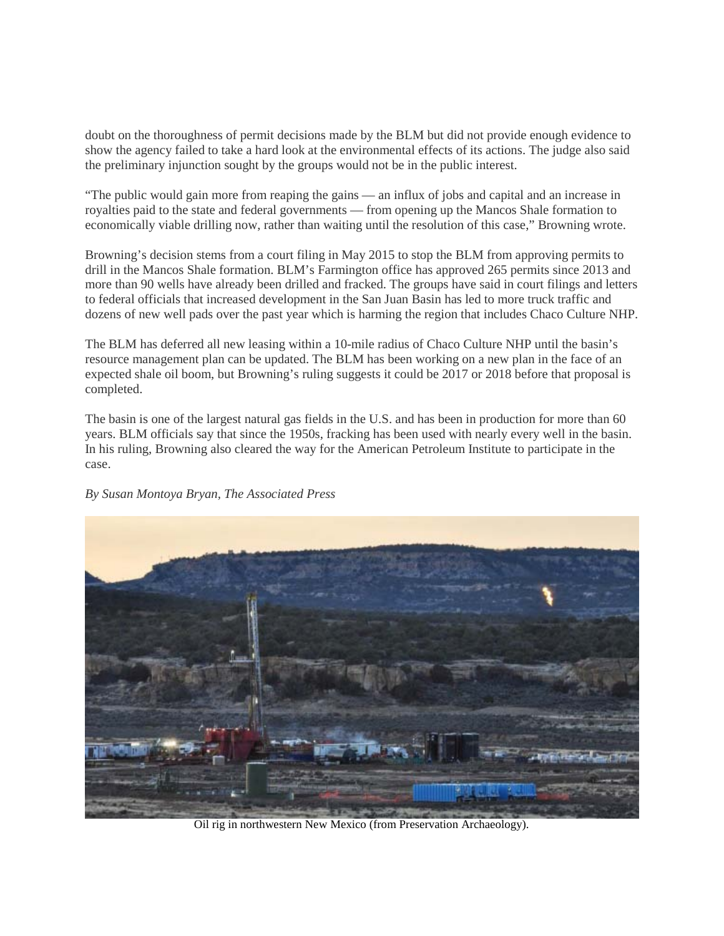doubt on the thoroughness of permit decisions made by the BLM but did not provide enough evidence to show the agency failed to take a hard look at the environmental effects of its actions. The judge also said the preliminary injunction sought by the groups would not be in the public interest.

"The public would gain more from reaping the gains — an influx of jobs and capital and an increase in royalties paid to the state and federal governments — from opening up the Mancos Shale formation to economically viable drilling now, rather than waiting until the resolution of this case," Browning wrote.

Browning's decision stems from a court filing in May 2015 to stop the BLM from approving permits to drill in the Mancos Shale formation. BLM's Farmington office has approved 265 permits since 2013 and more than 90 wells have already been drilled and fracked. The groups have said in court filings and letters to federal officials that increased development in the San Juan Basin has led to more truck traffic and dozens of new well pads over the past year which is harming the region that includes Chaco Culture NHP.

The BLM has deferred all new leasing within a 10-mile radius of Chaco Culture NHP until the basin's resource management plan can be updated. The BLM has been working on a new plan in the face of an expected shale oil boom, but Browning's ruling suggests it could be 2017 or 2018 before that proposal is completed.

The basin is one of the largest natural gas fields in the U.S. and has been in production for more than 60 years. BLM officials say that since the 1950s, fracking has been used with nearly every well in the basin. In his ruling, Browning also cleared the way for the American Petroleum Institute to participate in the case.

## *By Susan Montoya Bryan, The Associated Press*



Oil rig in northwestern New Mexico (from Preservation Archaeology).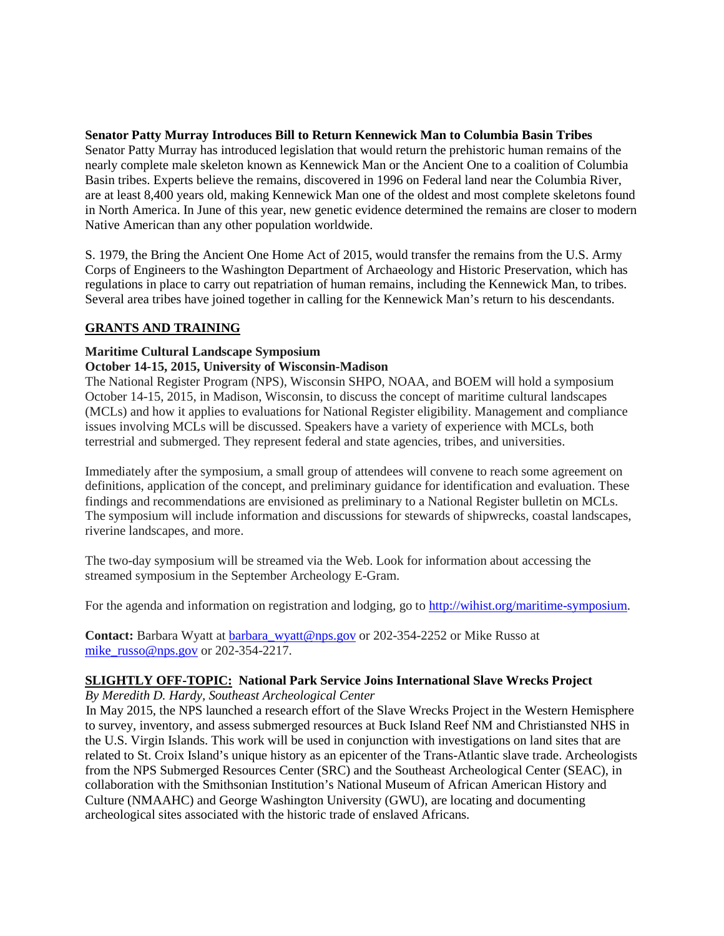## **Senator Patty Murray Introduces Bill to Return Kennewick Man to Columbia Basin Tribes**

Senator Patty Murray has introduced legislation that would return the prehistoric human remains of the nearly complete male skeleton known as Kennewick Man or the Ancient One to a coalition of Columbia Basin tribes. Experts believe the remains, discovered in 1996 on Federal land near the Columbia River, are at least 8,400 years old, making Kennewick Man one of the oldest and most complete skeletons found in North America. In June of this year, new genetic evidence determined the remains are closer to modern Native American than any other population worldwide.

S. 1979, the Bring the Ancient One Home Act of 2015, would transfer the remains from the U.S. Army Corps of Engineers to the Washington Department of Archaeology and Historic Preservation, which has regulations in place to carry out repatriation of human remains, including the Kennewick Man, to tribes. Several area tribes have joined together in calling for the Kennewick Man's return to his descendants.

## **GRANTS AND TRAINING**

# **Maritime Cultural Landscape Symposium**

## **October 14-15, 2015, University of Wisconsin-Madison**

The National Register Program (NPS), Wisconsin SHPO, NOAA, and BOEM will hold a symposium October 14-15, 2015, in Madison, Wisconsin, to discuss the concept of maritime cultural landscapes (MCLs) and how it applies to evaluations for National Register eligibility. Management and compliance issues involving MCLs will be discussed. Speakers have a variety of experience with MCLs, both terrestrial and submerged. They represent federal and state agencies, tribes, and universities.

Immediately after the symposium, a small group of attendees will convene to reach some agreement on definitions, application of the concept, and preliminary guidance for identification and evaluation. These findings and recommendations are envisioned as preliminary to a National Register bulletin on MCLs. The symposium will include information and discussions for stewards of shipwrecks, coastal landscapes, riverine landscapes, and more.

The two-day symposium will be streamed via the Web. Look for information about accessing the streamed symposium in the September Archeology E-Gram.

For the agenda and information on registration and lodging, go to [http://wihist.org/maritime-symposium.](http://wihist.org/maritime-symposium)

**Contact:** Barbara Wyatt at [barbara\\_wyatt@nps.gov](mailto:barbara_wyatt@nps.gov) or 202-354-2252 or Mike Russo at mike russo@nps.gov or 202-354-2217.

# **SLIGHTLY OFF-TOPIC: National Park Service Joins International Slave Wrecks Project**

*By Meredith D. Hardy, Southeast Archeological Center*

In May 2015, the NPS launched a research effort of the Slave Wrecks Project in the Western Hemisphere to survey, inventory, and assess submerged resources at Buck Island Reef NM and Christiansted NHS in the U.S. Virgin Islands. This work will be used in conjunction with investigations on land sites that are related to St. Croix Island's unique history as an epicenter of the Trans-Atlantic slave trade. Archeologists from the NPS Submerged Resources Center (SRC) and the Southeast Archeological Center (SEAC), in collaboration with the Smithsonian Institution's National Museum of African American History and Culture (NMAAHC) and George Washington University (GWU), are locating and documenting archeological sites associated with the historic trade of enslaved Africans.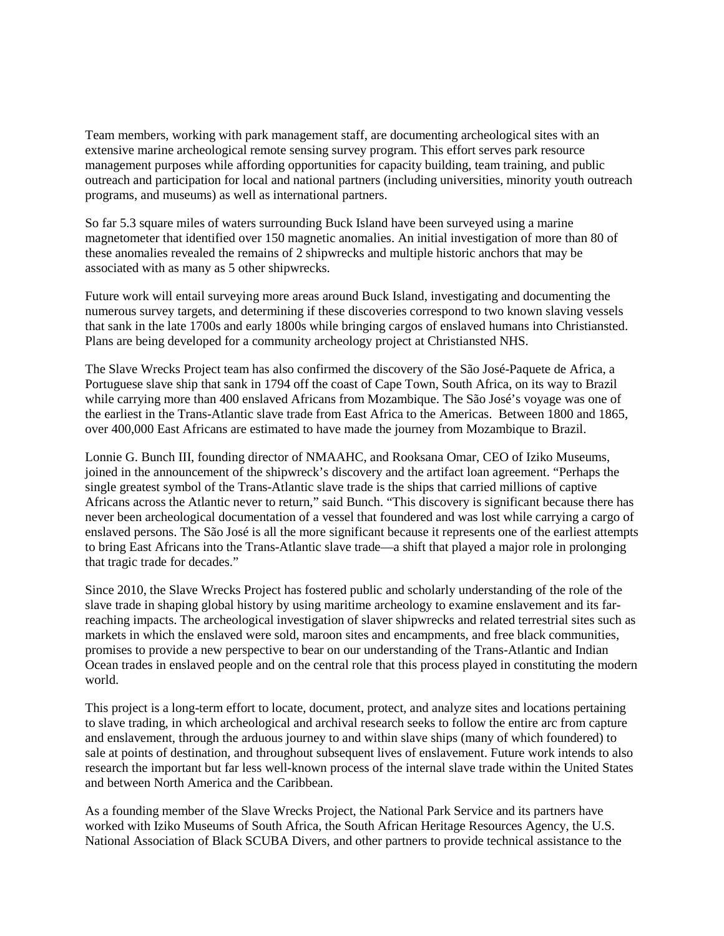Team members, working with park management staff, are documenting archeological sites with an extensive marine archeological remote sensing survey program. This effort serves park resource management purposes while affording opportunities for capacity building, team training, and public outreach and participation for local and national partners (including universities, minority youth outreach programs, and museums) as well as international partners.

So far 5.3 square miles of waters surrounding Buck Island have been surveyed using a marine magnetometer that identified over 150 magnetic anomalies. An initial investigation of more than 80 of these anomalies revealed the remains of 2 shipwrecks and multiple historic anchors that may be associated with as many as 5 other shipwrecks.

Future work will entail surveying more areas around Buck Island, investigating and documenting the numerous survey targets, and determining if these discoveries correspond to two known slaving vessels that sank in the late 1700s and early 1800s while bringing cargos of enslaved humans into Christiansted. Plans are being developed for a community archeology project at Christiansted NHS.

The Slave Wrecks Project team has also confirmed the discovery of the São José-Paquete de Africa, a Portuguese slave ship that sank in 1794 off the coast of Cape Town, South Africa, on its way to Brazil while carrying more than 400 enslaved Africans from Mozambique. The São José's voyage was one of the earliest in the Trans-Atlantic slave trade from East Africa to the Americas. Between 1800 and 1865, over 400,000 East Africans are estimated to have made the journey from Mozambique to Brazil.

Lonnie G. Bunch III, founding director of NMAAHC, and Rooksana Omar, CEO of Iziko Museums, joined in the announcement of the shipwreck's discovery and the artifact loan agreement. "Perhaps the single greatest symbol of the Trans-Atlantic slave trade is the ships that carried millions of captive Africans across the Atlantic never to return," said Bunch. "This discovery is significant because there has never been archeological documentation of a vessel that foundered and was lost while carrying a cargo of enslaved persons. The São José is all the more significant because it represents one of the earliest attempts to bring East Africans into the Trans-Atlantic slave trade—a shift that played a major role in prolonging that tragic trade for decades."

Since 2010, the Slave Wrecks Project has fostered public and scholarly understanding of the role of the slave trade in shaping global history by using maritime archeology to examine enslavement and its farreaching impacts. The archeological investigation of slaver shipwrecks and related terrestrial sites such as markets in which the enslaved were sold, maroon sites and encampments, and free black communities, promises to provide a new perspective to bear on our understanding of the Trans-Atlantic and Indian Ocean trades in enslaved people and on the central role that this process played in constituting the modern world.

This project is a long-term effort to locate, document, protect, and analyze sites and locations pertaining to slave trading, in which archeological and archival research seeks to follow the entire arc from capture and enslavement, through the arduous journey to and within slave ships (many of which foundered) to sale at points of destination, and throughout subsequent lives of enslavement. Future work intends to also research the important but far less well-known process of the internal slave trade within the United States and between North America and the Caribbean.

As a founding member of the Slave Wrecks Project, the National Park Service and its partners have worked with Iziko Museums of South Africa, the South African Heritage Resources Agency, the U.S. National Association of Black SCUBA Divers, and other partners to provide technical assistance to the